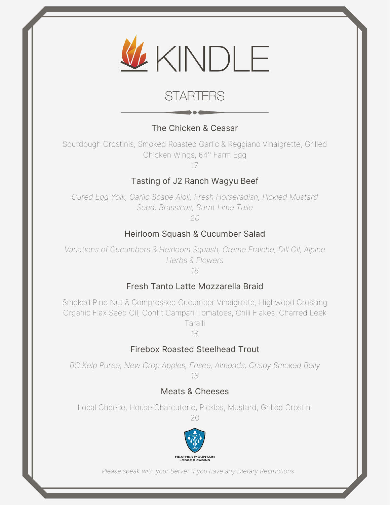

# **STARTERS**

## The Chicken & Ceasar

Sourdough Crostinis, Smoked Roasted Garlic & Reggiano Vinaigrette, Grilled Chicken Wings, 64° Farm Egg

17

### Tasting of J2 Ranch Wagyu Beef

*Cured Egg Yolk, Garlic Scape Aioli, Fresh Horseradish, Pickled Mustard Seed, Brassicas, Burnt Lime Tuile*

*20*

#### Heirloom Squash & Cucumber Salad

*Variations of Cucumbers & Heirloom Squash, Creme Fraiche, Dill Oil, Alpine Herbs & Flowers 16*

#### Fresh Tanto Latte Mozzarella Braid

Smoked Pine Nut & Compressed Cucumber Vinaigrette, Highwood Crossing Organic Flax Seed Oil, Confit Campari Tomatoes, Chili Flakes, Charred Leek Taralli

18

#### Firebox Roasted Steelhead Trout

*BC Kelp Puree, New Crop Apples, Frisee, Almonds, Crispy Smoked Belly 18*

#### Meats & Cheeses

Local Cheese, House Charcuterie, Pickles, Mustard, Grilled Crostini

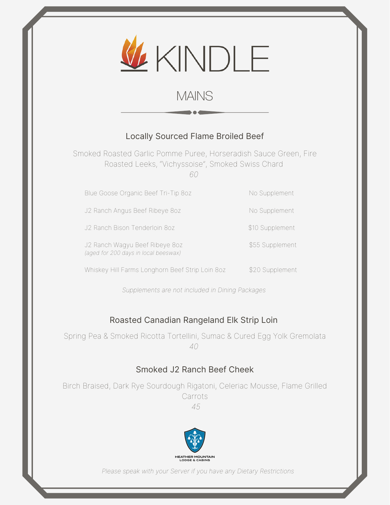

# MAINS

#### Locally Sourced Flame Broiled Beef

Smoked Roasted Garlic Pomme Puree, Horseradish Sauce Green, Fire Roasted Leeks, "Vichyssoise", Smoked Swiss Chard *60*

Blue Goose Organic Beef Tri-Tip 8oz No Supplement

J2 Ranch Angus Beef Ribeye 8oz No Supplement

J2 Ranch Bison Tenderloin 8oz \$10 Supplement

J2 Ranch Wagyu Beef Ribeye 8oz \$55 Supplement *(aged for 200 days in local beeswax)*

Whiskey Hill Farms Longhorn Beef Strip Loin 8oz \$20 Supplement

*Supplements are not included in Dining Packages*

#### Roasted Canadian Rangeland Elk Strip Loin

Spring Pea & Smoked Ricotta Tortellini, Sumac & Cured Egg Yolk Gremolata *40*

#### Smoked J2 Ranch Beef Cheek

Birch Braised, Dark Rye Sourdough Rigatoni, Celeriac Mousse, Flame Grilled Carrots

*45*

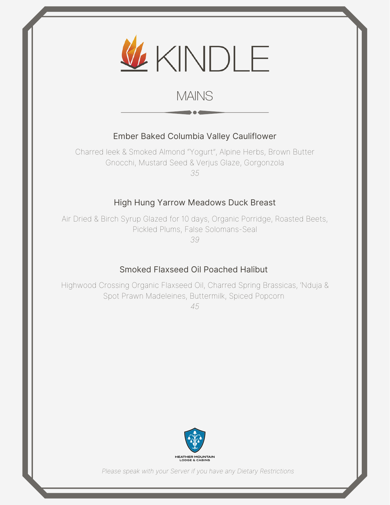

# MAINS

#### Ember Baked Columbia Valley Cauliflower

Charred leek & Smoked Almond "Yogurt", Alpine Herbs, Brown Butter Gnocchi, Mustard Seed & Verjus Glaze, Gorgonzola *35*

#### High Hung Yarrow Meadows Duck Breast

Air Dried & Birch Syrup Glazed for 10 days, Organic Porridge, Roasted Beets, Pickled Plums, False Solomans-Seal

*39*

#### Smoked Flaxseed Oil Poached Halibut

Highwood Crossing Organic Flaxseed Oil, Charred Spring Brassicas, 'Nduja & Spot Prawn Madeleines, Buttermilk, Spiced Popcorn

*45*